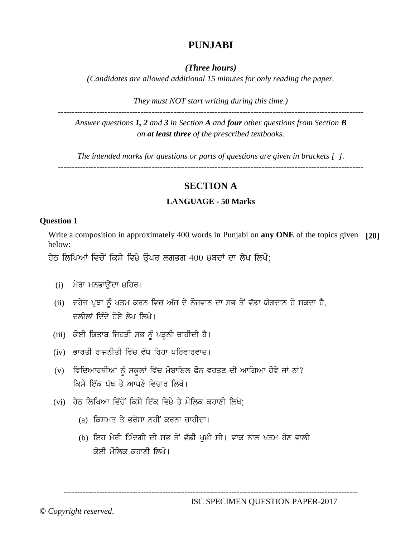# **PUNJABI**

*(Three hours)*

*(Candidates are allowed additional 15 minutes for only reading the paper.*

*They must NOT start writing during this time.)*

*Answer questions 1, 2 and 3 in Section A and four other questions from Section B on at least three of the prescribed textbooks.*

---------------------------------------------------------------------------------------------------------------

*The intended marks for questions or parts of questions are given in brackets [ ].*

**---------------------------------------------------------------------------------------------------------------**

## **SECTION A**

## **LANGUAGE - 50 Marks**

## **Question 1**

Write a composition in approximately 400 words in Punjabi on **any ONE** of the topics given **[20]** below:

ਹੇਠ ਲਿਖਿਆਂ ਵਿਚੋਂ ਕਿਸੇ ਵਿ੪ੇ ਉਪਰ ਲਗਭਗ 400 ੪ਬਦਾਂ ਦਾ ਲੇਖ ਲਿਖੋ:

- $(i)$  ਮੇਰਾ ਮਨਭਾਉਂਦਾ ੪ਹਿਰ।
- (ii) ਦਹੇਜ ਪ੍ਰਥਾ ਨੂੰ ਖਤਮ ਕਰਨ ਵਿਚ ਅੱਜ ਦੇ ਨੌਜਵਾਨ ਦਾ ਸਭ ਤੋਂ ਵੱਡਾ ਯੋਗਦਾਨ ਹੋ ਸਕਦਾ ਹੈ, ਦੁਲੀਲਾਂ ਦਿੰਦੇ ਹੋਏ ਲੇਖ ਲਿਖੋ।
- (iii) ਕੋਈ ਕਿਤਾਬ ਜਿਹੜੀ ਸਭ ਨੂੰ ਪੜ੍ਹਨੀ ਚਾਹੀਦੀ ਹੈ।
- (iv) ਭਾਰਤੀ ਰਾਜਨੀਤੀ ਵਿੱਚ ਵੱਧ ਰਿਹਾ ਪਰਿਵਾਰਵਾਦ।
- (v) ਵਿਦਿਆਰਥੀਆਂ ਨੂੰ ਸਕੂਲਾਂ ਵਿੱਚ ਮੋਬਾਇਲ ਫੋਨ ਵਰਤਣ ਦੀ ਆਗਿਆ ਹੋਵੇ ਜਾਂ ਨਾਂ? ਕਿਸੇ ਇੱਕ ਪੱਖ ਤੇ ਆਪਣੇ ਵਿਜ਼ਾਰ ਲਿਖੋ।
- (vi) ਹੇਠ ਲਿਖਿਆ ਵਿੱਚੋਂ ਕਿਸੇ ਇੱਕ ਵਿ੪ੇ ਤੇ ਮੌਲਿਕ ਕਹਾਣੀ ਲਿਖੋ;
	- (a) ਕਿਸਮਤ ਤੇ ਭਰੋਸਾ ਨਹੀਂ ਕਰਨਾ ਚਾਹੀਦਾ।
	- (b) ਇਹ ਮੇਰੀ ੭ਿੰਦਗੀ ਦੀ ਸਭ ਤੋਂ ਵੱਡੀ ਖੁ੪ੀ ਸੀ। ਵਾਕ ਨਾਲ ਖਤਮ ਹੋਣ ਵਾਲੀ ਕੋਈ ਮੌਲਿਕ ਕਹਾਣੀ ਲਿਖੋ।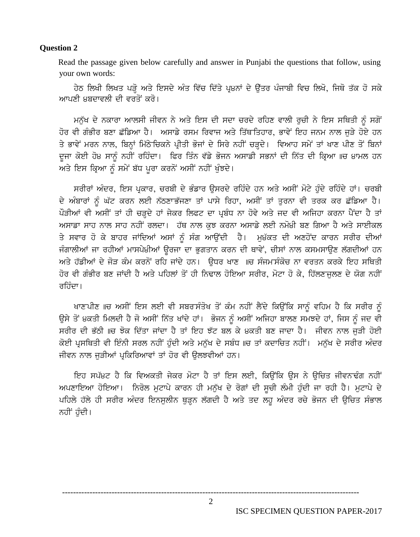#### **Ouestion 2**

Read the passage given below carefully and answer in Punjabi the questions that follow, using your own words:

ਹੇਠ ਲਿਖੀ ਲਿਖਤ ਪੜ੍ਹੋ ਅਤੇ ਇਸਦੇ ਅੰਤ ਵਿੱਚ ਦਿੱਤੇ ਪ੍ਰ੪ਨਾਂ ਦੇ ਉੱਤਰ ਪੰਜਾਬੀ ਵਿਚ ਲਿਖੋ, ਜਿਥੋ ਤੱਕ ਹੋ ਸਕੇ ਆਪਣੀ ੪ਬਦਾਵਲੀ ਦੀ ਵਰਤੋਂ ਕਰੋ।

ਮਨੁੱਖ ਦੇ ਨਕਾਰਾ ਆਲਸੀ ਜੀਵਨ ਨੇ ਅਤੇ ਇਸ ਦੀ ਸਦਾ ਚਰਦੇ ਰਹਿਣ ਵਾਲੀ ਰਚੀ ਨੇ ਇਸ ਸਥਿਤੀ ਨੂੰ ਸਗੋਂ ਹੋਰ ਵੀ ਗੰਭੀਰ ਬਣਾ ਛੱਡਿਆ ਹੈ। ਅਸਾਡੇ ਰਸਮ ਰਿਵਾਜ ਅਤੇ ਤਿੱਥਤਿਹਾਰ, ਭਾਵੇਂ ਇਹ ਜਨਮ ਨਾਲ ਜੜੇ ਹੋਏ ਹਨ ਤੇ ਭਾਵੇਂ ਮਰਨ ਨਾਲ, ਬਿਨਾਂ ਮਿੱਠੇਚਿਕਨੇ ਪੀਤੀ ਭੋਜਾਂ ਦੇ ਸਿਰੇ ਨਹੀਂ ਚੜਦੇ। ਵਿਆਹ ਸਮੇਂ ਤਾਂ ਖਾਣ ਪੀਣ ਤੋਂ ਬਿਨਾਂ ਦੂਜਾ ਕੋਈ ਹੋ੪ ਸਾਨੂੰ ਨਹੀਂ ਰਹਿੰਦਾ। ਫਿਰ ਤਿੰਨ ਵੱਡੇ ਭੋਜਨ ਅਸਾਡੀ ਸਭਨਾਂ ਦੀ ਨਿੱਤ ਦੀ ਕ੍ਰਿਆ ॥ਚ ੪ਾਮਲ ਹਨ ਅਤੇ ਇਸ ਕਿਆ ਨੂੰ ਸਮੇਂ ਬੱਧ ਪਰਾ ਕਰਨੋਂ ਅਸੀਂ ਨਹੀਂ ਖੁੰਝਦੇ।

ਸਰੀਰਾਂ ਅੰਦਰ, ਇਸ ਪ੍ਰਕਾਰ, ਚਰਬੀ ਦੇ ਭੰਡਾਰ ਉਸਰਦੇ ਰਹਿੰਦੇ ਹਨ ਅਤੇ ਅਸੀਂ ਮੋਟੇ ਹੰਦੇ ਰਹਿੰਦੇ ਹਾਂ। ਚਰਬੀ ਦੇ ਅੰਬਾਰਾਂ ਨੂੰ ਘੱਟ ਕਰਨ ਲਈ ਨੱਠਣਾਭੱਜਣਾ ਤਾਂ ਪਾਸੇ ਰਿਹਾ, ਅਸੀਂ ਤਾਂ ਤਰਨਾ ਵੀ ਤਰਕ ਕਰ ਛੱਡਿਆ ਹੈ। ਪੌੜੀਆਂ ਵੀ ਅਸੀਂ ਤਾਂ ਹੀ ਚੜ੍ਹਦੇ ਹਾਂ ਜੇਕਰ ਲਿਫਟ ਦਾ ਪ੍ਰਬੰਧ ਨਾ ਹੋਵੇ ਅਤੇ ਜਦ ਵੀ ਅਜਿਹਾ ਕਰਨਾ ਪੈਂਦਾ ਹੈ ਤਾਂ ਅਸਾਡਾ ਸਾਹ ਨਾਲ ਸਾਹ ਨਹੀਂ ਰਲਦਾ। ਹੱਥ ਨਾਲ ਕਝ ਕਰਨਾ ਅਸਾਡੇ ਲਈ ਨਮੋ੪ੀ ਬਣ ਗਿਆ ਹੈ ਅਤੇ ਸਾਈਕਲ ਤੇ ਸਵਾਰ ਹੋ ਕੇ ਬਾਹਰ ਜਾਂਦਿਆਂ ਅਸਾਂ ਨੂੰ ਸੰਗ ਆਉਂਦੀ ਹੈ। ਮੁ੪ੱਕਤ ਦੀ ਅਣਹੋਂਦ ਕਾਰਨ ਸਰੀਰ ਦੀਆਂ ਜੰਗਾਲੀਆਂ ਜਾ ਰਹੀਆਂ ਮਾਸਪੇ੪ੀਆਂ ਉਰਜਾ ਦਾ ਭਗਤਾਨ ਕਰਨ ਦੀ ਥਾਵੇਂ, ਚੀਸਾਂ ਨਾਲ ਕਸਮਸਾਉਣ ਲੱਗਦੀਆਂ ਹਨ ਅਤੇ ਹੱਡੀਆਂ ਦੇ ਜੋੜ ਕੰਮ ਕਰਨੋਂ ਰਹਿ ਜਾਂਦੇ ਹਨ। ਉਧਰ ਖਾਣ ॥ਚ ਸੰਜਮਸੰਕੋਚ ਨਾ ਵਰਤਨ ਕਰਕੇ ਇਹ ਸਥਿਤੀ ਹੋਰ ਵੀ ਗੰਭੀਰ ਬਣ ਜਾਂਦੀ ਹੈ ਅਤੇ ਪਹਿਲਾਂ ਤੋਂ ਹੀ ਨਿਢਾਲ ਹੋਇਆ ਸਰੀਰ. ਮੋਟਾ ਹੋ ਕੇ. ਹਿੱਲਣਜਲਣ ਦੇ ਯੋਗ ਨਹੀਂ<sup>:</sup> ਰਹਿੰਦਾ।

ਖਾਣਪੀਣ ॥ਚ ਅਸੀਂ ਇਸ ਲਈ ਵੀ ਸਬਰਸੰਤੋਖ ਤੋਂ ਕੰਮ ਨਹੀਂ ਲੈਂਦੇ ਕਿਉਂਕਿ ਸਾਨੂੰ ਵਹਿਮ ਹੈ ਕਿ ਸਰੀਰ ਨੂੰ ਉਸੇ ਤੋਂ ੪ਕਤੀ ਮਿਲਦੀ ਹੈ ਜੋ ਅਸੀਂ ਨਿੱਤ ਖਾਂਦੇ ਹਾਂ। ਭੋਜਨ ਨੂੰ ਅਸੀਂ ਅਜਿਹਾ ਬਾਲਣ ਸਮਝਦੇ ਹਾਂ, ਜਿਸ ਨੂੰ ਜਦ ਵੀ ਸਰੀਰ ਦੀ ਭੱਠੀ ॥ਚ ਝੋਕ ਦਿੱਤਾ ਜਾਂਦਾ ਹੈ ਤਾਂ ਇਹ ਝੱਟ ਬਲ ਕੇ ੪ਕਤੀ ਬਣ ਜਾਦਾ ਹੈ। ਜੀਵਨ ਨਾਲ ਜੜੀ ਹੋਈ ਕੋਈ ਪੁਸਥਿਤੀ ਵੀ ਇੰਨੀ ਸਰਲ ਨਹੀਂ ਹੰਦੀ ਅਤੇ ਮਨੱਖ ਦੇ ਸਬੰਧ ॥ਚ ਤਾਂ ਕਦਾਚਿਤ ਨਹੀਂ। ਮਨੱਖ ਦੇ ਸਰੀਰ ਅੰਦਰ ਜੀਵਨ ਨਾਲ ਜੁੜੀਆਂ ਪ੍ਰਕਿਰਿਆਵਾਂ ਤਾਂ ਹੋਰ ਵੀ ਉਲਝਵੀਆਂ ਹਨ।

ਇਹ ਸਪੱ੪ਟ ਹੈ ਕਿ ਵਿਅਕਤੀ ਜੇਕਰ ਮੋਟਾ ਹੈ ਤਾਂ ਇਸ ਲਈ, ਕਿਉਂਕਿ ਉਸ ਨੇ ਉਚਿਤ ਜੀਵਨਢੰਗ ਨਹੀਂ ਅਪਣਾਇਆ ਹੋਇਆ। ਨਿਰੋਲ ਮੁਟਾਪੇ ਕਾਰਨ ਹੀ ਮਨੁੱਖ ਦੇ ਰੋਗਾਂ ਦੀ ਸੂਚੀ ਲੰਮੀ ਹੁੰਦੀ ਜਾ ਰਹੀ ਹੈ। ਮੁਟਾਪੇ ਦੇ ਪਹਿਲੇ ਹੱਲੇ ਹੀ ਸਰੀਰ ਅੰਦਰ ਇਨਸਲੀਨ ਥੜ੍ਹਨ ਲੱਗਦੀ ਹੈ ਅਤੇ ਤਦ ਲਹ ਅੰਦਰ ਰਚੇ ਭੋਜਨ ਦੀ ਉਚਿਤ ਸੰਭਾਲ ਨਹੀਂ ਹੰਦੀ।

ISC SPECIMEN QUESTION PAPER-2017

2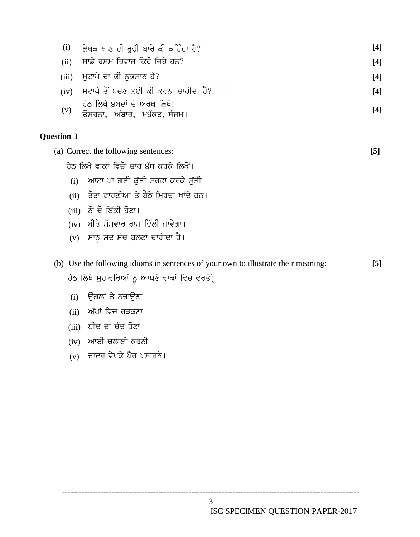| (i)                                       | ਲੇਖਕ ਖਾਣ ਦੀ ਰਚੀ ਬਾਰੇ ਕੀ ਕਹਿੰਦਾ ਹੈ?                                                                                                 | $[4]$ |
|-------------------------------------------|------------------------------------------------------------------------------------------------------------------------------------|-------|
| (ii)                                      | ਸਾਡੇ ਰਸਮ ਰਿਵਾਜ ਕਿਹੋ ਜਿਹੇ ਹਨ?                                                                                                       | $[4]$ |
| (iii)                                     | ਮੁਟਾਪੇ ਦਾ ਕੀ ਨੁਕਸਾਨ ਹੈ?                                                                                                            | $[4]$ |
| (iv)                                      | ਮਟਾਪੇ ਤੋਂ ਬਚਣ ਲਈ ਕੀ ਕਰਨਾ ਚਾਹੀਦਾ ਹੈ?                                                                                                | $[4]$ |
| (v)                                       | ਹੇਠ ਲਿਖੇ ੪ਬਦਾਂ ਦੇ ਅਰਥ ਲਿਖੋ:<br>ਉਸਰਨਾ, ਅੰਬਾਰ, ਮੁ੪ੱਕਤ, ਸੰਜਮ।                                                                         | $[4]$ |
| <b>Question 3</b>                         |                                                                                                                                    |       |
|                                           | (a) Correct the following sentences:                                                                                               | $[5]$ |
| ਹੇਠ ਲਿਖੇ ਵਾਕਾਂ ਵਿਚੋਂ ਚਾਰ ੪ੁੱਧ ਕਰਕੇ ਲਿਖੋਂ। |                                                                                                                                    |       |
| (i)                                       | ਆਟਾ ਖਾ ਗਈ ਕੁੱਤੀ ਸਰਫਾ ਕਰਕੇ ਸੁੱਤੀ                                                                                                    |       |
| (ii)                                      | ਤੋਤਾ ਟਾਹਣੀਆਂ ਤੇ ਬੈਠੇ ਮਿਰਚਾਂ ਖਾਂਦੇ ਹਨ।                                                                                              |       |
|                                           | $(iii)$ ਨੌਂ ਦੋ ਇੱਕੀ ਹੋਣਾ।                                                                                                          |       |
|                                           | (iv) ਬੀਤੇ ਸੋਮਵਾਰ ਰਾਮ ਦਿੱਲੀ ਜਾਵੇਗਾ।                                                                                                 |       |
|                                           | (v) ਸਾਨੂੰ ਸਦ ਸੱਚ ਬੁਲਣਾ ਚਾਹੀਦਾ ਹੈ।                                                                                                  |       |
|                                           | (b) Use the following idioms in sentences of your own to illustrate their meaning:<br>ਹੇਠ ਲਿਖੇ ਮੁਹਾਵਰਿਆਂ ਨੂੰ ਆਪਣੇ ਵਾਕਾਂ ਵਿਚ ਵਰਤੋਂ: | $[5]$ |
|                                           | $\sim$ $\sim$ $\sim$                                                                                                               |       |

- $(i)$  ਉੰਗਲਾਂ ਤੇ ਨਚਾਉਣਾ
- $(ii)$  ਅੱਖਾਂ ਵਿਚ ਰੜਕਣਾ
- $(iii)$  ਈਦ ਦਾ ਚੰਦ ਹੋਣਾ
- $(iv)$  ਆਈ ਚਲਾਈ ਕਰਨੀ
- (v) ਚਾਦਰ ਵੇਖਕੇ ਪੈਰ ਪਸਾਰਨੇ।

------------------------------------------------------------------------------------------------------------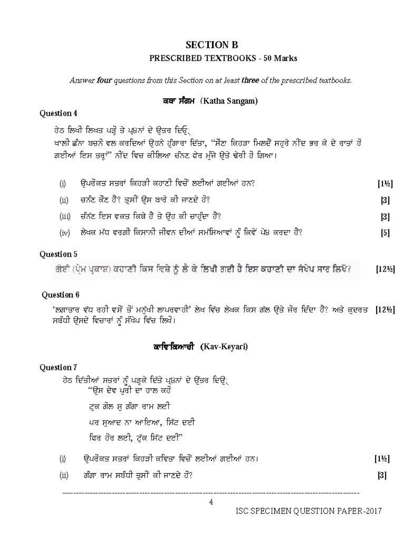# **SECTION B** PRESCRIBED TEXTBOOKS - 50 Marks

Answer four questions from this Section on at least three of the prescribed textbooks.

## ਕਥਾ ਸੰਗਮ (Katha Sangam)

## Question 4

ਹੇਠ ਲਿਖੀ ਲਿਖਤ ਪੜ੍ਹੋ ਤੇ ਪ੍ਰ8ਨਾਂ ਦੇ ਉਤਰ ਦਿਓ੍

ਖਾਲੀ ਛੰਨਾ ਬਚਨੋਂ ਵਲ ਕਰਦਿਆਂ ਉਹਨੇ ਹੁੰਗਾਰਾ ਦਿੱਤਾ, "ਸੌਣਾ ਕਿਹੜਾ ਮਿਲਦੈਂ ਸਹੁਰੇ ਨੀਂਦ ਭਰ ਕੇ ਦੇ ਰਾਤਾਂ ਹੋ ਗਈਆਂ ਇਸ ਤਰ੍ਹਾਂ" ਨੀਂਦ ਵਿਚ ਕੀਲਿਆ ਚੰਨਣ ਫੇਰ ਮੁੱਜੇ ਉਤੇ ਢੇਰੀ ਹੋ ਗਿਆ।

| (i)  | ਉਪਰੋਕਤ ਸਤਰਾਂ ਕਿਹੜੀ ਕਹਾਣੀ ਵਿਚੋਂ ਲਈਆਂ ਗਈਆਂ ਹਨ?                         | $[1\frac{1}{2}]$ |
|------|----------------------------------------------------------------------|------------------|
| (ii) | ਚਨੰਟ ਕੌਣ ਹੈ? ਤੁਸੀਂ ਉਸ ਬਾਰੇ ਕੀ ਜਾਣਦੇ ਹੋ?                              | [3]              |
|      | (iii) ਚੰਨੱਣ ਇਸ ਵਕਤ ਕਿਥੇ ਹੈ ਤੇ ਉਹ ਕੀ ਚਾਹੁੰਦਾ ਹੈ?                      | $[3]$            |
|      | (iv) ਲੇਖਕ ਮੱਧ ਵਰਗੀ ਕਿਸਾਨੀ ਜੀਵਨ ਦੀਆਂ ਸਮੱਸਿਆਵਾਂ ਨੂੰ ਕਿਵੇਂ ਪੇ8 ਕਰਦਾ ਹੈ? | [5]              |

## Question 5

ਗੋਈ (ਪ੍ਰੇਮ ਪ੍ਰਕਾਸ਼) ਕਹਾਣੀ ਕਿਸ ਵਿਸ਼ੇ ਨੂੰ ਲੈ ਕੇ ਲਿਖੀ ਗਈ ਹੈ ਇਸ ਕਹਾਣੀ ਦਾ ਸੈਖੇਪ ਸਾਰ ਲਿਖੋ?  $[12\frac{1}{2}]$ 

### Question 6

'ਲਗਾਤਾਰ ਵੱਧ ਰਹੀ ਵਸੋਂ ਤੋਂ ਮਨੁੱਖੀ ਲਾਪਰਵਾਹੀ' ਲੇਖ ਵਿੱਚ ਲੇਖਕ ਕਿਸ ਗੱਲ ਉਤੇ ਜੋਰ ਦਿੰਦਾ ਹੈ? ਅਤੇ ਕੁਦਰਤ [12½] ਸਬੰਧੀ ਉਸਦੇ ਵਿਚਾਰਾਂ ਨੂੰ ਸੰਖੇਪ ਵਿੱਚ ਲਿਖੋ।

## ਕਾਵਿਕਿਆਰੀ (Kav-Keyari)

### Question 7

ਹੇਠ ਦਿੱਤੀਆਂ ਸਤਰਾਂ ਨੂੰ ਪੜ੍ਹਕੇ ਦਿੱਤੇ ਪ8ਨਾਂ ਦੇ ਉੱਤਰ ਦਿਉ੍<br>"ਉਸ ਦੇਵ ਪੁਰੀ ਦਾ ਹਾਲ ਕਹੋ

ਟਕ ਗੋਲ ਸ ਗੰਗਾ ਚਾਮ ਲਈ

ਪਰ ਸਆਦ ਨਾ ਆਇਆ, ਸਿੱਟ ਦਈ

ਫਿਰ ਹੋਰ ਲਈ, ਟੱਕ ਸਿੱਟ ਦਈ"

- ਉਪਰੋਕਤ ਸਤਰਾਂ ਕਿਹੜੀ ਕਵਿਤਾ ਵਿਚੋਂ ਲਈਆਂ ਗਈਆਂ ਹਨ।  $(i)$
- ਗੰਗਾ ਰਾਮ ਸਬੰਧੀ ਤੁਸੀਂ ਕੀ ਜਾਣਦੇ ਹੋ?  $(ii)$

 $[1\frac{1}{2}]$  $\lceil 3 \rceil$ 

 $\overline{4}$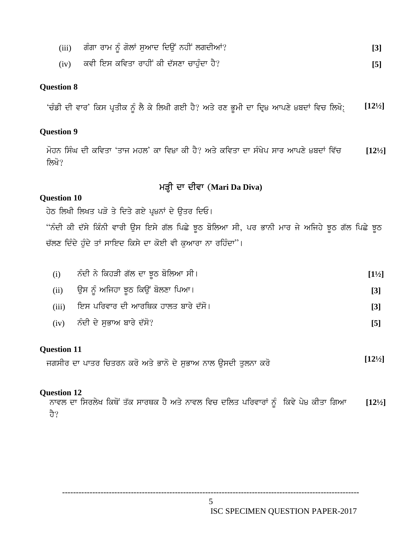- (iii) ਗੰਗਾ ਰਾਮ ਨੂੰ ਗੋਲਾਂ ਸੁਆਦ ਦਿਉਂ ਨਹੀਂ ਲਗਦੀਆਂ? ਕਿਹਾ ਕਿ ਇਹ ਸ਼ਾਮਲ **[3]**
- (iv) ਕਵੀ ਇਸ ਕਵਿਤਾ ਰਾਹੀਂ ਕੀ ਦੱਸਣਾ ਚਾਹੁੰਦਾ ਹੈ?

#### **Question 8**

'ਚੰਡੀ ਦੀ ਵਾਰ' ਕਿਸ ਪ੍ਰਤੀਕ ਨੂੰ ਲੈ ਕੇ ਲਿਖੀ ਗਈ ਹੈ? ਅਤੇ ਰਣ ਭੂਮੀ ਦਾ ਦ੍ਰਿ੪ ਆਪਣੇ ੪ਬਦਾਂ ਵਿਚ ਲਿਖੋ: [12½]

#### **Question 9**

ਮੋਹਨ ਸਿੰਘ ਦੀ ਕਵਿਤਾ 'ਤਾਜ ਮਹਲ' ਕਾ ਵਿ੪ਾ ਕੀ ਹੈ? ਅਤੇ ਕਵਿਤਾ ਦਾ ਸੰਖੇਪ ਸਾਰ ਆਪਣੇ ੪ਬਦਾਂ ਵਿੱਚ [12! ਲਿਖੋ? **[12½]** <sup>r</sup> ਵਿ੪ਾ ਕੀ ਹੈ? ਅਤੇ ਕਵਿਤਾ ਦਾ ਸੰਖੇਪ ਸਾਰ<br>**ਮੜ੍ਹੀ ਦਾ ਦੀਵਾ (Mari Da Diva)<br>ਦੋ ਕੈ ਉਸ ਸਿਓ।** 

#### **Question 10**

ਹੇਠ ਲਿਖੀ ਲਿਖਤ ਪੜੋ ਤੇ ਦਿਤੇ ਗਏ ਪ੍ਰ੪ਨਾਂ ਦੇ ਉਤਰ ਦਿਓ।

"ਨੰਦੀ ਕੀ ਦੱਸੇ ਕਿੰਨੀ ਵਾਰੀ ਉਸ ਇਸੇ ਗੱਲ ਪਿਛੇ ਝੂਠ ਬੋਲਿਆ ਸੀ, ਪਰ ਭਾਨੀ ਮਾਰ ਜੇ ਅਜਿਹੇ ਝੂਠ ਗੱਲ ਪਿਛੇ ਝੂਠ ਚੱਲਣ ਦਿੰਦੇ ਹੰਦੇ ਤਾਂ ਸਾਇਦ ਕਿਸੇ ਦਾ ਕੋਈ ਵੀ ਕਆਰਾ ਨਾ ਰਹਿੰਦਾ"।

| (i) | ਨੰਦੀ ਨੇ ਕਿਹੜੀ ਗੱਲ ਦਾ ਝੂਠ ਬੋਲਿਆ ਸੀ।          | $[1\frac{1}{2}]$  |
|-----|---------------------------------------------|-------------------|
|     | (ii)    ਉਸ ਨੂੰ ਅਜਿਹਾ ਝੂਠ ਕਿਉਂ ਬੋਲਣਾ ਪਿਆ।    | $\lceil 3 \rceil$ |
|     | (iii)    ਇਸ ਪਰਿਵਾਰ ਦੀ ਆਰਥਿਕ ਹਾਲਤ ਬਾਰੇ ਦੱਸੋ। | $\lceil 3 \rceil$ |
|     | (iv) ਨੰਦੀ ਦੇ ਸਭਾਅ ਬਾਰੇ ਦੱਸੋ?                | [5]               |

#### **Question 11**

ਜਗਸੀਰ ਦਾ ਪਾਤਰ ਚਿਤਰਨ ਕਰੋ ਅਤੇ ਭਾਨੋ ਦੇ ਸੁਭਾਅ ਨਾਲ ਉਸਦੀ ਤੁਲਨਾ ਕਰੋ

#### **Question 12**

ਨਾਵਲ ਦਾ ਸਿਰਲੇਖ ਕਿਥੋਂ ਤੱਕ ਸਾਰਥਕ ਹੈ ਅਤੇ ਨਾਵਲ ਵਿਚ ਦਲਿਤ ਪਰਿਵਾਰਾਂ ਨੂੰ ਕਿਵੇ ਪੇ੪ ਕੀਤਾ ਗਿਆ ਹੈ? **[12½]**

ISC SPECIMEN QUESTION PAPER-2017